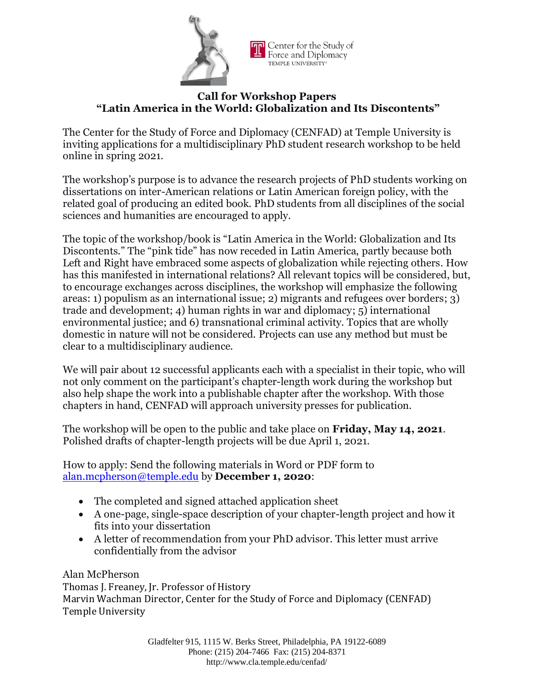

## **Call for Workshop Papers "Latin America in the World: Globalization and Its Discontents"**

The Center for the Study of Force and Diplomacy (CENFAD) at Temple University is inviting applications for a multidisciplinary PhD student research workshop to be held online in spring 2021.

The workshop's purpose is to advance the research projects of PhD students working on dissertations on inter-American relations or Latin American foreign policy, with the related goal of producing an edited book. PhD students from all disciplines of the social sciences and humanities are encouraged to apply.

The topic of the workshop/book is "Latin America in the World: Globalization and Its Discontents." The "pink tide" has now receded in Latin America, partly because both Left and Right have embraced some aspects of globalization while rejecting others. How has this manifested in international relations? All relevant topics will be considered, but, to encourage exchanges across disciplines, the workshop will emphasize the following areas: 1) populism as an international issue; 2) migrants and refugees over borders; 3) trade and development; 4) human rights in war and diplomacy; 5) international environmental justice; and 6) transnational criminal activity. Topics that are wholly domestic in nature will not be considered. Projects can use any method but must be clear to a multidisciplinary audience.

We will pair about 12 successful applicants each with a specialist in their topic, who will not only comment on the participant's chapter-length work during the workshop but also help shape the work into a publishable chapter after the workshop. With those chapters in hand, CENFAD will approach university presses for publication.

The workshop will be open to the public and take place on **Friday, May 14, 2021**. Polished drafts of chapter-length projects will be due April 1, 2021.

How to apply: Send the following materials in Word or PDF form to [alan.mcpherson@temple.edu](mailto:alan.mcpherson@temple.edu) by **December 1, 2020**:

- The completed and signed attached application sheet
- A one-page, single-space description of your chapter-length project and how it fits into your dissertation
- A letter of recommendation from your PhD advisor. This letter must arrive confidentially from the advisor

Alan McPherson Thomas J. Freaney, Jr. Professor of History Marvin Wachman Director, Center for the Study of Force and Diplomacy (CENFAD) Temple University